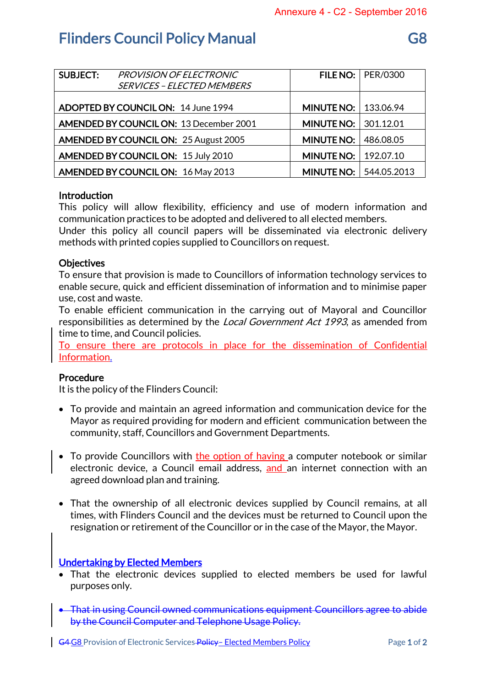# **Flinders Council Policy Manual Canadian Construction Construction Construction Construction Construction Construction Construction Construction Construction Construction Construction Construction Construction Construction**

| <b>SUBJECT:</b>                                | PROVISION OF ELECTRONIC<br><b>SERVICES - ELECTED MEMBERS</b> |                               | FILE NO: $ $ PER/0300 |
|------------------------------------------------|--------------------------------------------------------------|-------------------------------|-----------------------|
|                                                | ADOPTED BY COUNCIL ON: 14 June 1994                          | <b>MINUTE NO:   133.06.94</b> |                       |
| <b>AMENDED BY COUNCIL ON: 13 December 2001</b> |                                                              | MINUTE NO:                    | 301.12.01             |
|                                                | <b>AMENDED BY COUNCIL ON: 25 August 2005</b>                 | <b>MINUTE NO:</b>             | 486.08.05             |
| <b>AMENDED BY COUNCIL ON: 15 July 2010</b>     |                                                              | <b>MINUTE NO:</b>             | 192.07.10             |
|                                                | AMENDED BY COUNCIL ON: 16 May 2013                           | <b>MINUTE NO:</b>             | 544.05.2013           |

## Introduction

This policy will allow flexibility, efficiency and use of modern information and communication practices to be adopted and delivered to all elected members.

Under this policy all council papers will be disseminated via electronic delivery methods with printed copies supplied to Councillors on request.

## **Objectives**

To ensure that provision is made to Councillors of information technology services to enable secure, quick and efficient dissemination of information and to minimise paper use, cost and waste.

To enable efficient communication in the carrying out of Mayoral and Councillor responsibilities as determined by the *Local Government Act 1993*, as amended from time to time, and Council policies.

To ensure there are protocols in place for the dissemination of Confidential Information.

## Procedure

It is the policy of the Flinders Council:

- To provide and maintain an agreed information and communication device for the Mayor as required providing for modern and efficient communication between the community, staff, Councillors and Government Departments.
- To provide Councillors with the option of having a computer notebook or similar electronic device, a Council email address, and an internet connection with an agreed download plan and training.
- That the ownership of all electronic devices supplied by Council remains, at all times, with Flinders Council and the devices must be returned to Council upon the resignation or retirement of the Councillor or in the case of the Mayor, the Mayor.

## Undertaking by Elected Members

- That the electronic devices supplied to elected members be used for lawful purposes only.
- That in using Council owned communications equipment Councillors agree to abide by the Council Computer and Telephone Usage Policy.

G4 G8 Provision of Electronic Services Policy – Elected Members Policy Page 1 of 2